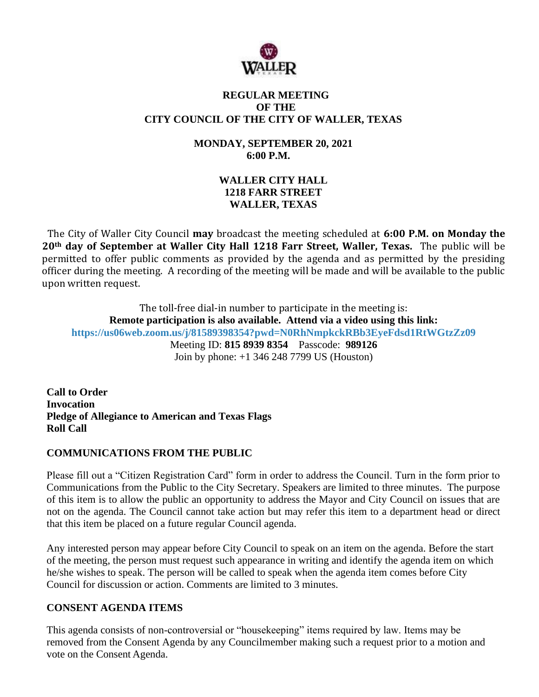

### **REGULAR MEETING OF THE CITY COUNCIL OF THE CITY OF WALLER, TEXAS**

### **MONDAY, SEPTEMBER 20, 2021 6:00 P.M.**

# **WALLER CITY HALL 1218 FARR STREET WALLER, TEXAS**

The City of Waller City Council **may** broadcast the meeting scheduled at **6:00 P.M. on Monday the 20th day of September at Waller City Hall 1218 Farr Street, Waller, Texas.** The public will be permitted to offer public comments as provided by the agenda and as permitted by the presiding officer during the meeting. A recording of the meeting will be made and will be available to the public upon written request.

The toll-free dial-in number to participate in the meeting is: **Remote participation is also available. Attend via a video using this link: <https://us06web.zoom.us/j/81589398354?pwd=N0RhNmpkckRBb3EyeFdsd1RtWGtzZz09>** Meeting ID: **815 8939 8354** Passcode: **989126** Join by phone: +1 346 248 7799 US (Houston)

**Call to Order Invocation Pledge of Allegiance to American and Texas Flags Roll Call**

# **COMMUNICATIONS FROM THE PUBLIC**

Please fill out a "Citizen Registration Card" form in order to address the Council. Turn in the form prior to Communications from the Public to the City Secretary. Speakers are limited to three minutes. The purpose of this item is to allow the public an opportunity to address the Mayor and City Council on issues that are not on the agenda. The Council cannot take action but may refer this item to a department head or direct that this item be placed on a future regular Council agenda.

Any interested person may appear before City Council to speak on an item on the agenda. Before the start of the meeting, the person must request such appearance in writing and identify the agenda item on which he/she wishes to speak. The person will be called to speak when the agenda item comes before City Council for discussion or action. Comments are limited to 3 minutes.

# **CONSENT AGENDA ITEMS**

This agenda consists of non-controversial or "housekeeping" items required by law. Items may be removed from the Consent Agenda by any Councilmember making such a request prior to a motion and vote on the Consent Agenda.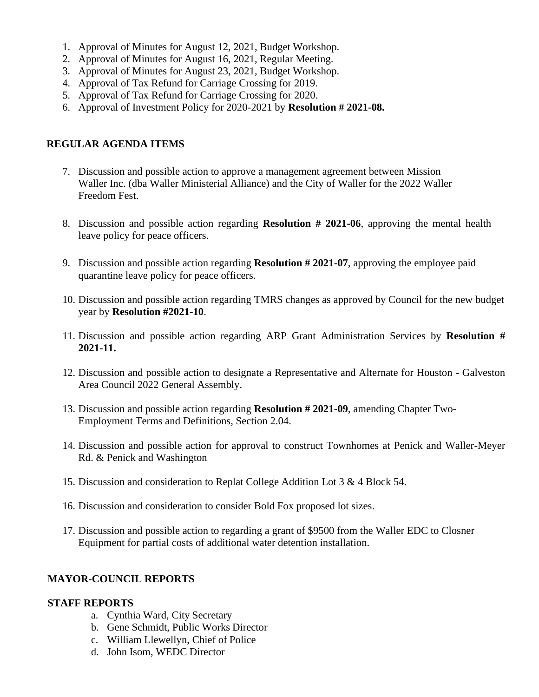- 1. Approval of Minutes for August 12, 2021, Budget Workshop.
- 2. Approval of Minutes for August 16, 2021, Regular Meeting.
- 3. Approval of Minutes for August 23, 2021, Budget Workshop.
- 4. Approval of Tax Refund for Carriage Crossing for 2019.
- 5. Approval of Tax Refund for Carriage Crossing for 2020.
- 6. Approval of Investment Policy for 2020-2021 by **Resolution # 2021-08.**

### **REGULAR AGENDA ITEMS**

- 7. Discussion and possible action to approve a management agreement between Mission Waller Inc. (dba Waller Ministerial Alliance) and the City of Waller for the 2022 Waller Freedom Fest.
- 8. Discussion and possible action regarding **Resolution # 2021-06**, approving the mental health leave policy for peace officers.
- 9. Discussion and possible action regarding **Resolution # 2021-07**, approving the employee paid quarantine leave policy for peace officers.
- 10. Discussion and possible action regarding TMRS changes as approved by Council for the new budget year by **Resolution #2021-10**.
- 11. Discussion and possible action regarding ARP Grant Administration Services by **Resolution # 2021-11.**
- 12. Discussion and possible action to designate a Representative and Alternate for Houston Galveston Area Council 2022 General Assembly.
- 13. Discussion and possible action regarding **Resolution # 2021-09**, amending Chapter Two-Employment Terms and Definitions, Section 2.04.
- 14. Discussion and possible action for approval to construct Townhomes at Penick and Waller-Meyer Rd. & Penick and Washington
- 15. Discussion and consideration to Replat College Addition Lot 3 & 4 Block 54.
- 16. Discussion and consideration to consider Bold Fox proposed lot sizes.
- 17. Discussion and possible action to regarding a grant of \$9500 from the Waller EDC to Closner Equipment for partial costs of additional water detention installation.

#### **MAYOR-COUNCIL REPORTS**

#### **STAFF REPORTS**

- a. Cynthia Ward, City Secretary
- b. Gene Schmidt, Public Works Director
- c. William Llewellyn, Chief of Police
- d. John Isom, WEDC Director